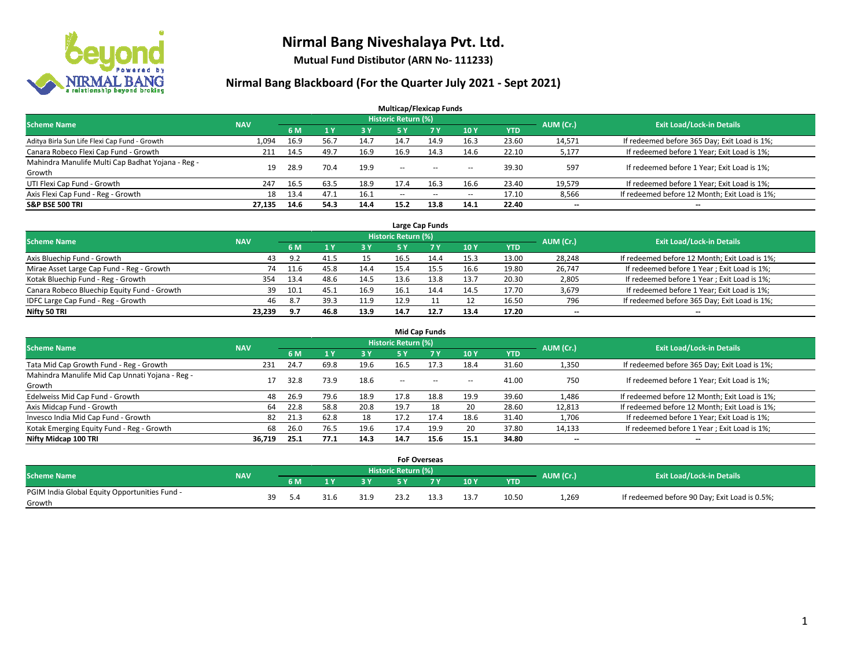

**Mutual Fund Distibutor (ARN No- 111233)**

### **Nirmal Bang Blackboard (For the Quarter July 2021 - Sept 2021)**

| <b>Multicap/Flexicap Funds</b>                    |            |      |      |           |                            |           |            |            |           |                                               |  |  |  |
|---------------------------------------------------|------------|------|------|-----------|----------------------------|-----------|------------|------------|-----------|-----------------------------------------------|--|--|--|
| <b>Scheme Name</b>                                | <b>NAV</b> |      |      |           | <b>Historic Return (%)</b> |           |            |            | AUM (Cr.) | <b>Exit Load/Lock-in Details</b>              |  |  |  |
|                                                   |            | 6 M  | 71 Y | <b>3Y</b> | 5 Y                        | <b>7Y</b> | <b>10Y</b> | <b>YTD</b> |           |                                               |  |  |  |
| Aditya Birla Sun Life Flexi Cap Fund - Growth     | 1,094      | 16.9 | 56.7 | 14.7      | 14.7                       | 14.9      | 16.3       | 23.60      | 14,571    | If redeemed before 365 Day; Exit Load is 1%;  |  |  |  |
| Canara Robeco Flexi Cap Fund - Growth             | 211        | 14.5 | 49.7 | 16.9      | 16.9                       | 14.3      | 14.6       | 22.10      | 5,177     | If redeemed before 1 Year; Exit Load is 1%;   |  |  |  |
| Mahindra Manulife Multi Cap Badhat Yojana - Reg - | 19         | 28.9 | 70.4 | 19.9      | $\overline{\phantom{a}}$   |           |            | 39.30      | 597       | If redeemed before 1 Year; Exit Load is 1%;   |  |  |  |
| Growth                                            |            |      |      |           |                            | $\sim$    | --         |            |           |                                               |  |  |  |
| UTI Flexi Cap Fund - Growth                       | 247        | 16.5 | 63.5 | 18.9      | 17.4                       | 16.3      | 16.6       | 23.40      | 19,579    | If redeemed before 1 Year; Exit Load is 1%;   |  |  |  |
| Axis Flexi Cap Fund - Reg - Growth                | 18         | 13.4 | 47.1 | 16.1      | $\overline{\phantom{a}}$   | $\sim$    | $- -$      | 17.10      | 8,566     | If redeemed before 12 Month; Exit Load is 1%; |  |  |  |
| <b>S&amp;P BSE 500 TRI</b>                        | 27.135     | 14.6 | 54.3 | 14.4      | 15.2                       | 13.8      | 14.1       | 22.40      | --        | $\overline{\phantom{a}}$                      |  |  |  |

| Large Cap Funds                             |            |      |      |      |                            |             |      |       |                          |                                               |  |  |  |
|---------------------------------------------|------------|------|------|------|----------------------------|-------------|------|-------|--------------------------|-----------------------------------------------|--|--|--|
| <b>Scheme Name</b>                          | <b>NAV</b> |      |      |      | <b>Historic Return (%)</b> |             |      |       | AUM (Cr.)                | <b>Exit Load/Lock-in Details</b>              |  |  |  |
|                                             |            | 6 M  |      | 3 Y  |                            | <b>7 Y.</b> | 10Y  | YTD   |                          |                                               |  |  |  |
| Axis Bluechip Fund - Growth                 | 43         | 9.2  | 41.5 | 15   | 16.5                       | 14.4        | 15.3 | 13.00 | 28,248                   | If redeemed before 12 Month; Exit Load is 1%; |  |  |  |
| Mirae Asset Large Cap Fund - Reg - Growth   | 74         | 11.6 | 45.8 | 14.4 | 15.4                       |             | 16.6 | 19.80 | 26,747                   | If redeemed before 1 Year; Exit Load is 1%;   |  |  |  |
| Kotak Bluechip Fund - Reg - Growth          | 354        | 13.4 | 48.6 | 14.5 | 13.6                       | 13.8        | 13.7 | 20.30 | 2,805                    | If redeemed before 1 Year; Exit Load is 1%;   |  |  |  |
| Canara Robeco Bluechip Equity Fund - Growth | 39         | 10.1 | 45.  | 16.9 | 16.1                       | 14.4        | 14.5 | 17.70 | 3,679                    | If redeemed before 1 Year; Exit Load is 1%;   |  |  |  |
| IDFC Large Cap Fund - Reg - Growth          | 46         | 8.7  | 39.3 | 11.9 | 12.9                       |             | 12   | 16.50 | 796                      | If redeemed before 365 Day; Exit Load is 1%;  |  |  |  |
| Nifty 50 TRI                                | 23.239     | 9.7  | 46.8 | 13.9 | 14.7                       | 12.7        | 13.4 | 17.20 | $\overline{\phantom{a}}$ | $- -$                                         |  |  |  |

| <b>Mid Cap Funds</b>                            |            |           |      |      |                     |           |                          |            |           |                                               |  |  |  |
|-------------------------------------------------|------------|-----------|------|------|---------------------|-----------|--------------------------|------------|-----------|-----------------------------------------------|--|--|--|
| <b>Scheme Name</b>                              | <b>NAV</b> |           |      |      | Historic Return (%) |           |                          |            | AUM (Cr.) | <b>Exit Load/Lock-in Details</b>              |  |  |  |
|                                                 |            | <b>6M</b> |      | 3 Y  | <b>5 Y</b>          | <b>7Y</b> | 10Y                      | <b>YTD</b> |           |                                               |  |  |  |
| Tata Mid Cap Growth Fund - Reg - Growth         | 231        | 24.7      | 69.8 | 19.6 | 16.5                | 17.3      | 18.4                     | 31.60      | 1,350     | If redeemed before 365 Day; Exit Load is 1%;  |  |  |  |
| Mahindra Manulife Mid Cap Unnati Yojana - Reg - | 17         | 32.8      | 73.9 | 18.6 | $-$                 | $-$       | $\overline{\phantom{a}}$ | 41.00      | 750       | If redeemed before 1 Year; Exit Load is 1%;   |  |  |  |
| Growth                                          |            |           |      |      |                     |           |                          |            |           |                                               |  |  |  |
| Edelweiss Mid Cap Fund - Growth                 | 48         | 26.9      | 79.6 | 18.9 | 17.8                | 18.8      | 19.9                     | 39.60      | 1,486     | If redeemed before 12 Month; Exit Load is 1%; |  |  |  |
| Axis Midcap Fund - Growth                       | 64         | 22.8      | 58.8 | 20.8 | 19.7                | 18        | 20                       | 28.60      | 12,813    | If redeemed before 12 Month; Exit Load is 1%; |  |  |  |
| Invesco India Mid Cap Fund - Growth             | 82         | 21.3      | 62.8 | 18   | 17.2                | 17.4      | 18.6                     | 31.40      | 1,706     | If redeemed before 1 Year; Exit Load is 1%;   |  |  |  |
| Kotak Emerging Equity Fund - Reg - Growth       | 68         | 26.0      | 76.5 | 19.6 | 17.4                | 19.9      | 20                       | 37.80      | 14,133    | If redeemed before 1 Year; Exit Load is 1%;   |  |  |  |
| Nifty Midcap 100 TRI                            | 36.719     | 25.1      | 77.1 | 14.3 | 14.7                | 15.6      | 15.1                     | 34.80      | $- -$     | $\overline{\phantom{a}}$                      |  |  |  |

|                                                         |            |    |     |      |                     | <b>FoF Overseas</b> |      |            |           |                                               |
|---------------------------------------------------------|------------|----|-----|------|---------------------|---------------------|------|------------|-----------|-----------------------------------------------|
| <b>Scheme Name</b>                                      | <b>NAV</b> |    |     |      | Historic Return (%) |                     |      |            | AUM (Cr.) | <b>Exit Load/Lock-in Details</b>              |
|                                                         |            |    | 6 M | 2V   |                     | 7 V                 | 10Y  | <b>YTD</b> |           |                                               |
| PGIM India Global Equity Opportunities Fund -<br>Growth |            | 39 |     | 31.9 | 23.2                |                     | 13.7 | 10.50      | 1,269     | If redeemed before 90 Day; Exit Load is 0.5%; |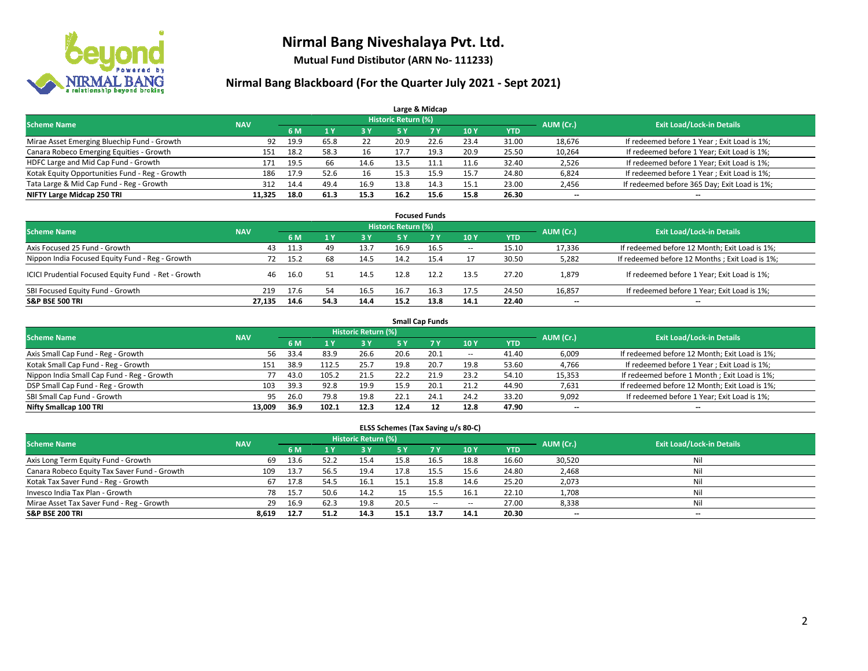

**Mutual Fund Distibutor (ARN No- 111233)**

#### **Nirmal Bang Blackboard (For the Quarter July 2021 - Sept 2021)**

|                                                |            |      |      |      |                            | Large & Midcap |      |            |           |                                              |
|------------------------------------------------|------------|------|------|------|----------------------------|----------------|------|------------|-----------|----------------------------------------------|
| <b>Scheme Name</b>                             | <b>NAV</b> |      |      |      | <b>Historic Return (%)</b> |                |      |            | AUM (Cr.) | <b>Exit Load/Lock-in Details</b>             |
|                                                |            | 6 M  |      | 3 Y  | <b>5 Y</b>                 | 7 <sub>V</sub> | 10Y  | <b>YTD</b> |           |                                              |
| Mirae Asset Emerging Bluechip Fund - Growth    | 92         | 19.9 | 65.8 | 22   | 20.9                       | 22.6           | 23.4 | 31.00      | 18,676    | If redeemed before 1 Year; Exit Load is 1%;  |
| Canara Robeco Emerging Equities - Growth       | 151        | 18.2 | 58.3 | 16   | 17.7                       | 19.3           | 20.9 | 25.50      | 10,264    | If redeemed before 1 Year; Exit Load is 1%;  |
| HDFC Large and Mid Cap Fund - Growth           | 171        | 19.5 | 66   | 14.6 | 13.5                       |                | 11.6 | 32.40      | 2,526     | If redeemed before 1 Year; Exit Load is 1%;  |
| Kotak Equity Opportunities Fund - Reg - Growth | 186        | 17.9 | 52.6 | 16   | 15.3                       | 15.9           | 15.7 | 24.80      | 6,824     | If redeemed before 1 Year; Exit Load is 1%;  |
| Tata Large & Mid Cap Fund - Reg - Growth       | 312        | 14.4 | 49.4 | 16.9 | 13.8                       | 14.3           | 15.1 | 23.00      | 2,456     | If redeemed before 365 Day; Exit Load is 1%; |
| NIFTY Large Midcap 250 TRI                     | 11.325     | 18.0 | 61.3 | 15.3 | 16.2                       | 15.6           | 15.8 | 26.30      | $- -$     | $\overline{\phantom{a}}$                     |

|                                                     |            |      |      |            |                     | <b>Focused Funds</b> |                          |            |                          |                                                |
|-----------------------------------------------------|------------|------|------|------------|---------------------|----------------------|--------------------------|------------|--------------------------|------------------------------------------------|
| <b>Scheme Name</b>                                  | <b>NAV</b> |      |      |            | Historic Return (%) |                      |                          |            | AUM (Cr.)                | <b>Exit Load/Lock-in Details</b>               |
|                                                     |            | 6 M  |      | <b>3 Y</b> | 5 Y                 | <b>7Y</b>            | 10Y                      | <b>YTD</b> |                          |                                                |
| Axis Focused 25 Fund - Growth                       | 43         | 11.3 | 49   | 13.7       | 16.9                | 16.5                 | $\hspace{0.05cm} \cdots$ | 15.10      | 17,336                   | If redeemed before 12 Month; Exit Load is 1%;  |
| Nippon India Focused Equity Fund - Reg - Growth     | 72         | 15.2 | 68   | 14.5       | 14.2                | 15.4                 |                          | 30.50      | 5,282                    | If redeemed before 12 Months; Exit Load is 1%; |
| ICICI Prudential Focused Equity Fund - Ret - Growth | 46         | 16.0 | 51   | 14.5       | 12.8                | 12.2                 | 13.5                     | 27.20      | 1,879                    | If redeemed before 1 Year; Exit Load is 1%;    |
| SBI Focused Equity Fund - Growth                    | 219        | 17.6 | 54   | 16.5       | 16.7                | 16.3                 | 17.5                     | 24.50      | 16,857                   | If redeemed before 1 Year; Exit Load is 1%;    |
| <b>S&amp;P BSE 500 TRI</b>                          | 27.135     | 14.6 | 54.3 | 14.4       | 15.2                | 13.8                 | 14.1                     | 22.40      | $\overline{\phantom{a}}$ | --                                             |

|                                            |            |                                  |       |       |      | <b>Small Cap Funds</b> |                          |            |                          |                                               |
|--------------------------------------------|------------|----------------------------------|-------|-------|------|------------------------|--------------------------|------------|--------------------------|-----------------------------------------------|
| <b>Scheme Name</b>                         | AUM (Cr.)  | <b>Exit Load/Lock-in Details</b> |       |       |      |                        |                          |            |                          |                                               |
|                                            | <b>NAV</b> | 6 M                              |       | 73 Y. | 5 Y  | <b>7Y</b>              | <b>10Y</b>               | <b>YTD</b> |                          |                                               |
| Axis Small Cap Fund - Reg - Growth         | 56         | 33.4                             | 83.9  | 26.6  | 20.6 | 20.1                   | $\overline{\phantom{a}}$ | 41.40      | 6,009                    | If redeemed before 12 Month; Exit Load is 1%; |
| Kotak Small Cap Fund - Reg - Growth        | 151        | 38.9                             | 112.5 | 25.7  | 19.8 | 20.7                   | 19.8                     | 53.60      | 4,766                    | If redeemed before 1 Year; Exit Load is 1%;   |
| Nippon India Small Cap Fund - Reg - Growth |            | 43.0                             | 105.2 | 21.5  | 22.2 | 21.9                   | 23.2                     | 54.10      | 15,353                   | If redeemed before 1 Month; Exit Load is 1%;  |
| DSP Small Cap Fund - Reg - Growth          | 103        | 39.3                             | 92.8  | 19.9  | 15.9 | 20.1                   | 21.2                     | 44.90      | 7,631                    | If redeemed before 12 Month; Exit Load is 1%; |
| SBI Small Cap Fund - Growth                | 95         | 26.0                             | 79.8  | 19.8  | 22.1 | 24.1                   | 24.2                     | 33.20      | 9,092                    | If redeemed before 1 Year; Exit Load is 1%;   |
| Nifty Smallcap 100 TRI                     | 13.009     | 36.9                             | 102.1 | 12.3  | 12.4 |                        | 12.8                     | 47.90      | $\overline{\phantom{m}}$ | $- -$                                         |

#### **ELSS Schemes (Tax Saving u/s 80-C)**

| <b>Scheme Name</b>                           | <b>NAV</b> |      |      | Historic Return (%) |           |        |                          |            | AUM (Cr.) | <b>Exit Load/Lock-in Details</b> |
|----------------------------------------------|------------|------|------|---------------------|-----------|--------|--------------------------|------------|-----------|----------------------------------|
|                                              |            | 6 M  |      | 73 Y.               | <b>5Y</b> |        | <b>10Y</b>               | <b>YTD</b> |           |                                  |
| Axis Long Term Equity Fund - Growth          | 69         | 13.6 | 52.2 | 15.4                | 15.8      | 16.5   | 18.8                     | 16.60      | 30,520    | Nil                              |
| Canara Robeco Equity Tax Saver Fund - Growth | 109        | 13.7 | 56.5 | 19.4                | 17.8      | 15.5   | 15.6                     | 24.80      | 2,468     | Nil                              |
| Kotak Tax Saver Fund - Reg - Growth          | 67         | 17.8 | 54.5 | 16.1                | 15.1      | 15.8   | 14.6                     | 25.20      | 2,073     | Nil                              |
| Invesco India Tax Plan - Growth              | 78         | 15.7 | 50.6 | 14.2                |           | 15.5   | 16.1                     | 22.10      | 1,708     | Nil                              |
| Mirae Asset Tax Saver Fund - Reg - Growth    | 29         | 16.9 | 62.3 | 19.8                | 20.5      | $\sim$ | $\overline{\phantom{a}}$ | 27.00      | 8,338     | Nil                              |
| <b>S&amp;P BSE 200 TRI</b>                   | 8,619      | 12.7 | 51.2 | 14.3                | 15.1      | 13.7   | 14.1                     | 20.30      | $- -$     | --                               |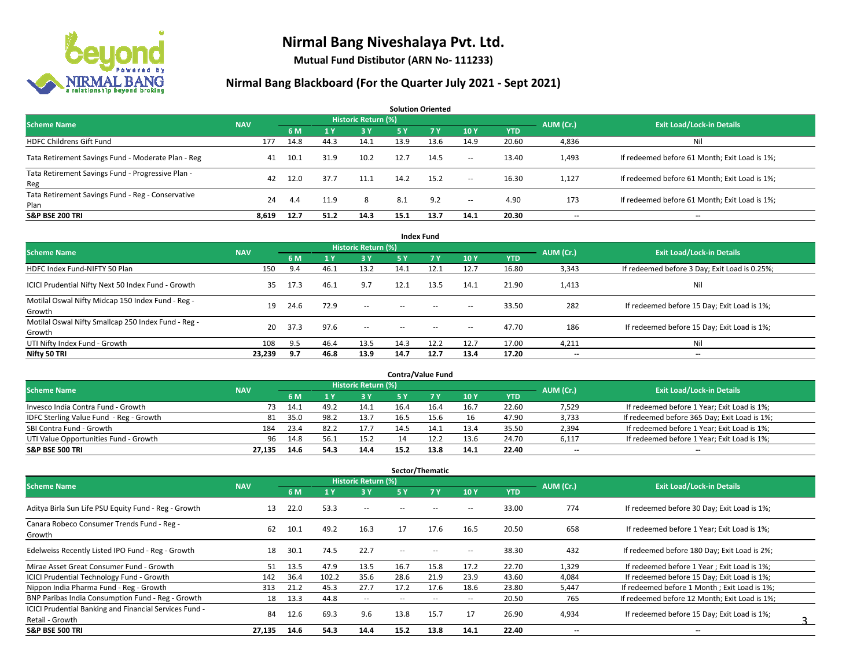

**Mutual Fund Distibutor (ARN No- 111233)**

#### **Nirmal Bang Blackboard (For the Quarter July 2021 - Sept 2021)**

**6 M 1 Y 3 Y 5 Y 7 Y 10 Y YTD** HDFC Childrens Gift Fund 177 14.8 44.3 14.1 13.9 13.6 14.9 20.60 4,836 Nil Tata Retirement Savings Fund - Moderate Plan - Reg and Auditional Auditional Co.1 at Auditional Co.1 at Auditional Co.1 at Auditional Co.1 at Auditional Co.1 at Auditional Co.1 at Auditional Co.1 at Auditional Co.1 at Audi Tata Retirement Savings Fund - Progressive Plan - Reg 42 12.0 37.7 11.1 14.2 15.2 -- 16.30 1,127 If redeemed before 61 Month; Exit Load is 1%; Tata Retirement Savings Fund - Reg - Conservative Plan 2011 123 124 1.4 11.9 8 8.1 9.2 - 4.90 173 If redeemed before 61 Month; Exit Load is 1%; **S&P BSE 200 TRI 8,619 12.7 51.2 14.3 15.1 13.7 14.1 20.30 -- -- AUM (Cr.) Exit Load/Lock-in Details Solution Oriented Scheme Name** Name Name National Accounts of the NAV *Historic Return (%)* 

|                                                               |            |      |                |                            |        | <b>Index Fund</b> |                          |            |                          |                                               |
|---------------------------------------------------------------|------------|------|----------------|----------------------------|--------|-------------------|--------------------------|------------|--------------------------|-----------------------------------------------|
| <b>Scheme Name</b>                                            | <b>NAV</b> |      |                | <b>Historic Return (%)</b> |        |                   |                          |            | AUM (Cr.)                | <b>Exit Load/Lock-in Details</b>              |
|                                                               |            | 6 M  | 1 <sup>1</sup> | <b>3Y</b>                  | 5 Y    | <b>7 Y</b>        | 10Y                      | <b>YTD</b> |                          |                                               |
| HDFC Index Fund-NIFTY 50 Plan                                 | 150        | 9.4  | 46.1           | 13.2                       | 14.1   | 12.1              | 12.7                     | 16.80      | 3,343                    | If redeemed before 3 Day; Exit Load is 0.25%; |
| ICICI Prudential Nifty Next 50 Index Fund - Growth            | 35         | 17.3 | 46.1           | 9.7                        | 12.1   | 13.5              | 14.1                     | 21.90      | 1,413                    | Nil                                           |
| Motilal Oswal Nifty Midcap 150 Index Fund - Reg -<br>Growth   | 19         | 24.6 | 72.9           | $\sim$                     | $\sim$ | $\sim$            | $\hspace{0.05cm} \cdots$ | 33.50      | 282                      | If redeemed before 15 Day; Exit Load is 1%;   |
| Motilal Oswal Nifty Smallcap 250 Index Fund - Reg -<br>Growth | 20         | 37.3 | 97.6           | $\sim$                     | $\sim$ | $\sim$            | $\overline{\phantom{a}}$ | 47.70      | 186                      | If redeemed before 15 Day; Exit Load is 1%;   |
| UTI Nifty Index Fund - Growth                                 | 108        | 9.5  | 46.4           | 13.5                       | 14.3   | 12.2              | 12.7                     | 17.00      | 4,211                    | Nil                                           |
| Nifty 50 TRI                                                  | 23,239     | 9.7  | 46.8           | 13.9                       | 14.7   | 12.7              | 13.4                     | 17.20      | $\overline{\phantom{a}}$ | $\overline{\phantom{a}}$                      |

| <b>Contra/Value Fund</b>                |            |      |      |                     |                                  |      |      |       |           |                                              |  |  |  |
|-----------------------------------------|------------|------|------|---------------------|----------------------------------|------|------|-------|-----------|----------------------------------------------|--|--|--|
| <b>Scheme Name</b>                      | <b>NAV</b> |      |      | Historic Return (%) | <b>Exit Load/Lock-in Details</b> |      |      |       |           |                                              |  |  |  |
|                                         |            | 6 M  |      | 3 Y                 |                                  |      | 10Y  | YTD   | AUM (Cr.) |                                              |  |  |  |
| Invesco India Contra Fund - Growth      | 73         | 14.1 | 49.2 | 14.1                | 16.4                             | 16.4 | 16.7 | 22.60 | 7,529     | If redeemed before 1 Year; Exit Load is 1%;  |  |  |  |
| IDFC Sterling Value Fund - Reg - Growth | 81         | 35.0 | 98.2 | 13.7                | 16.5                             | 15.6 | 16   | 47.90 | 3,733     | If redeemed before 365 Day; Exit Load is 1%; |  |  |  |
| SBI Contra Fund - Growth                | 184        | 23.4 | 82.2 | 17.7                | 14.5                             | 14.7 | 13.4 | 35.50 | 2,394     | If redeemed before 1 Year; Exit Load is 1%;  |  |  |  |
| UTI Value Opportunities Fund - Growth   | 96         | 14.8 | د.56 | 15.2                |                                  | 12.2 | 13.6 | 24.70 | 6,117     | If redeemed before 1 Year; Exit Load is 1%;  |  |  |  |
| <b>S&amp;P BSE 500 TRI</b>              | 27.135     | 14.6 | 54.3 | 14.4                | 15.2                             | 13.8 | 14.1 | 22.40 | $- -$     | $- -$                                        |  |  |  |

| Sector/Thematic                                        |            |      |       |                            |                          |      |                          |            |           |                                               |  |  |  |  |
|--------------------------------------------------------|------------|------|-------|----------------------------|--------------------------|------|--------------------------|------------|-----------|-----------------------------------------------|--|--|--|--|
| <b>Scheme Name</b>                                     | <b>NAV</b> |      |       | <b>Historic Return (%)</b> |                          |      |                          |            | AUM (Cr.) | <b>Exit Load/Lock-in Details</b>              |  |  |  |  |
|                                                        |            | 6 M  | 1 Y   | 3 Y                        | 5 Y                      | 7 Y  | 10Y                      | <b>YTD</b> |           |                                               |  |  |  |  |
| Aditya Birla Sun Life PSU Equity Fund - Reg - Growth   | 13         | 22.0 | 53.3  | $\sim$                     | $\overline{\phantom{a}}$ |      | --                       | 33.00      | 774       | If redeemed before 30 Day; Exit Load is 1%;   |  |  |  |  |
| Canara Robeco Consumer Trends Fund - Reg -<br>Growth   | 62         | 10.1 | 49.2  | 16.3                       | 17                       | 17.6 | 16.5                     | 20.50      | 658       | If redeemed before 1 Year; Exit Load is 1%;   |  |  |  |  |
| Edelweiss Recently Listed IPO Fund - Reg - Growth      | 18         | 30.1 | 74.5  | 22.7                       | $\overline{\phantom{a}}$ | --   | --                       | 38.30      | 432       | If redeemed before 180 Day; Exit Load is 2%;  |  |  |  |  |
| Mirae Asset Great Consumer Fund - Growth               | 51         | 13.5 | 47.9  | 13.5                       | 16.7                     | 15.8 | 17.2                     | 22.70      | 1,329     | If redeemed before 1 Year: Exit Load is 1%:   |  |  |  |  |
| <b>ICICI Prudential Technology Fund - Growth</b>       | 142        | 36.4 | 102.2 | 35.6                       | 28.6                     | 21.9 | 23.9                     | 43.60      | 4,084     | If redeemed before 15 Day; Exit Load is 1%;   |  |  |  |  |
| Nippon India Pharma Fund - Reg - Growth                | 313        | 21.2 | 45.3  | 27.7                       | 17.2                     | 17.6 | 18.6                     | 23.80      | 5,447     | If redeemed before 1 Month; Exit Load is 1%;  |  |  |  |  |
| BNP Paribas India Consumption Fund - Reg - Growth      | 18         | 13.3 | 44.8  | $\sim$                     |                          |      | $\overline{\phantom{a}}$ | 20.50      | 765       | If redeemed before 12 Month; Exit Load is 1%; |  |  |  |  |
| ICICI Prudential Banking and Financial Services Fund - | 84         | 12.6 | 69.3  | 9.6                        | 13.8                     | 15.7 | 17                       | 26.90      | 4,934     | If redeemed before 15 Day; Exit Load is 1%;   |  |  |  |  |
| Retail - Growth                                        |            |      |       |                            |                          |      |                          |            |           |                                               |  |  |  |  |
| <b>S&amp;P BSE 500 TRI</b>                             | 27.135     | 14.6 | 54.3  | 14.4                       | 15.2                     | 13.8 | 14.1                     | 22.40      | --        | --                                            |  |  |  |  |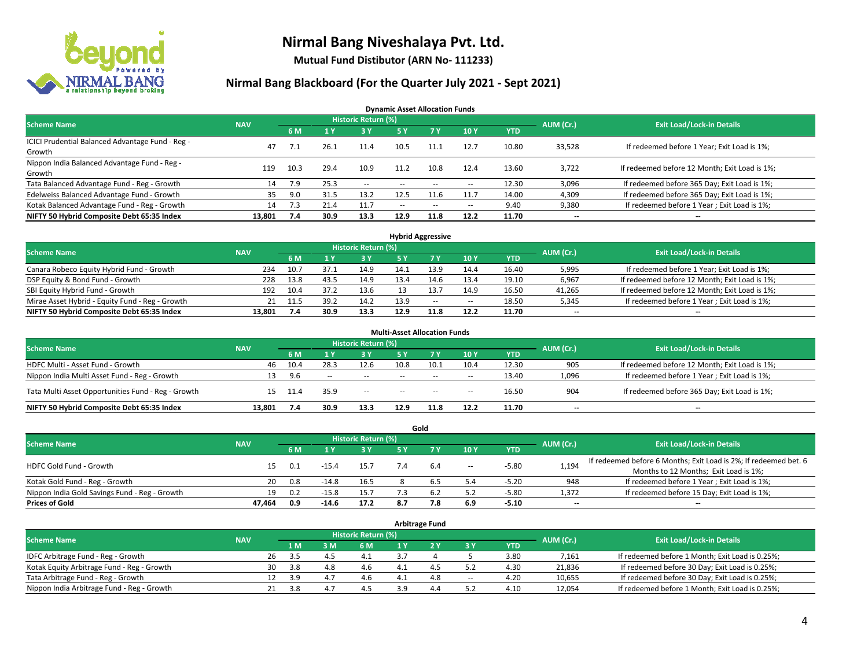

**Mutual Fund Distibutor (ARN No- 111233)**

#### **Nirmal Bang Blackboard (For the Quarter July 2021 - Sept 2021)**

**Dynamic Asset Allocation Funds**

| <b>Scheme Name</b>                                         | <b>NAV</b> |      |      | Historic Return (%) |        |                          |                          |       | AUM (Cr.)                | <b>Exit Load/Lock-in Details</b>              |
|------------------------------------------------------------|------------|------|------|---------------------|--------|--------------------------|--------------------------|-------|--------------------------|-----------------------------------------------|
|                                                            |            | 6 M  |      | <b>3Y</b>           | 5 Y    | 7 Y                      | 10Y                      | YTD   |                          |                                               |
| ICICI Prudential Balanced Advantage Fund - Reg -<br>Growth | 47         |      | 26.1 | 11.4                | 10.5   | 11.1                     | 12.7                     | 10.80 | 33,528                   | If redeemed before 1 Year; Exit Load is 1%;   |
| Nippon India Balanced Advantage Fund - Reg -<br>Growth     | 119        | 10.3 | 29.4 | 10.9                | 11.2   | 10.8                     | 12.4                     | 13.60 | 3,722                    | If redeemed before 12 Month; Exit Load is 1%; |
| Tata Balanced Advantage Fund - Reg - Growth                | 14         | 7.9  | 25.3 | $\sim$              | $-$    | $\overline{\phantom{a}}$ | $\overline{\phantom{a}}$ | 12.30 | 3,096                    | If redeemed before 365 Day; Exit Load is 1%;  |
| Edelweiss Balanced Advantage Fund - Growth                 | 35         | 9.0  | 31.5 | 13.2                | 12.5   |                          | 11.7                     | 14.00 | 4,309                    | If redeemed before 365 Day; Exit Load is 1%;  |
| Kotak Balanced Advantage Fund - Reg - Growth               | 14         | 7.3  | 21.4 | 11.7                | $\sim$ | $\overline{\phantom{a}}$ | $\overline{\phantom{a}}$ | 9.40  | 9,380                    | If redeemed before 1 Year; Exit Load is 1%;   |
| NIFTY 50 Hybrid Composite Debt 65:35 Index                 | 13.801     | 7.4  | 30.9 | 13.3                | 12.9   | 11.8                     | 12.2                     | 11.70 | $\overline{\phantom{a}}$ | --                                            |

| <b>Hybrid Aggressive</b>                        |            |             |      |                            |      |      |        |            |           |                                               |  |  |  |
|-------------------------------------------------|------------|-------------|------|----------------------------|------|------|--------|------------|-----------|-----------------------------------------------|--|--|--|
| <b>Scheme Name</b>                              | <b>NAV</b> |             |      | <b>Historic Return (%)</b> |      |      |        |            | AUM (Cr.) | <b>Exit Load/Lock-in Details</b>              |  |  |  |
|                                                 |            | 6 M         |      | 3 Y                        |      |      | 10Y    | <b>YTD</b> |           |                                               |  |  |  |
| Canara Robeco Equity Hybrid Fund - Growth       |            | 10.7<br>234 | 37.1 | 14.9                       | 14.1 | 13.9 | 14.4   | 16.40      | 5,995     | If redeemed before 1 Year; Exit Load is 1%;   |  |  |  |
| DSP Equity & Bond Fund - Growth                 |            | 13.8<br>228 | 43.5 | 14.9                       |      |      | 13.4   | 19.10      | 6,967     | If redeemed before 12 Month; Exit Load is 1%; |  |  |  |
| SBI Equity Hybrid Fund - Growth                 |            | 10.4<br>192 | 37.2 | 13.6                       |      |      | 14.9   | 16.50      | 41,265    | If redeemed before 12 Month; Exit Load is 1%; |  |  |  |
| Mirae Asset Hybrid - Equity Fund - Reg - Growth |            | 11.5<br>21  | 39.7 | 14.2                       | 13.9 | $-$  | $\sim$ | 18.50      | 5,345     | If redeemed before 1 Year; Exit Load is 1%;   |  |  |  |
| NIFTY 50 Hybrid Composite Debt 65:35 Index      | 13.801     | 7.4         | 30.9 | 13.3                       | 12.9 | 11.8 | 12.2   | 11.70      | $- -$     | $- -$                                         |  |  |  |

| <b>Multi-Asset Allocation Funds</b>                |            |      |              |                            |      |            |                          |            |                          |                                               |  |  |  |
|----------------------------------------------------|------------|------|--------------|----------------------------|------|------------|--------------------------|------------|--------------------------|-----------------------------------------------|--|--|--|
| <b>Scheme Name</b>                                 | <b>NAV</b> |      |              | <b>Historic Return (%)</b> |      |            |                          |            | AUM (Cr.)                | <b>Exit Load/Lock-in Details</b>              |  |  |  |
|                                                    |            | 6 M  |              | 3V                         | 5 Y  | <b>7 V</b> | 10Y                      | <b>YTD</b> |                          |                                               |  |  |  |
| HDFC Multi - Asset Fund - Growth                   | 46         | 10.4 | 28.3         | 12.6                       | 10.8 | 10.1       | 10.4                     | 12.30      | 905                      | If redeemed before 12 Month; Exit Load is 1%; |  |  |  |
| Nippon India Multi Asset Fund - Reg - Growth       | 13         | 9.6  | <b>COLUM</b> | $\sim$                     | $-$  | $\sim$     | $\overline{\phantom{a}}$ | 13.40      | 1,096                    | If redeemed before 1 Year; Exit Load is 1%;   |  |  |  |
| Tata Multi Asset Opportunities Fund - Reg - Growth | 15         | 11.4 | 35.9         | $-$                        | $-$  | $\sim$     | --                       | 16.50      | 904                      | If redeemed before 365 Day; Exit Load is 1%;  |  |  |  |
| NIFTY 50 Hybrid Composite Debt 65:35 Index         | 13.801     | 7.4  | 30.9         | 13.3                       | 12.9 | 11.8       | 12.2                     | 11.70      | $\overline{\phantom{a}}$ | --                                            |  |  |  |

| Gold                                          |            |     |         |                            |     |     |        |            |           |                                                                  |  |  |  |  |
|-----------------------------------------------|------------|-----|---------|----------------------------|-----|-----|--------|------------|-----------|------------------------------------------------------------------|--|--|--|--|
| <b>Scheme Name</b>                            | <b>NAV</b> |     |         | <b>Historic Return (%)</b> |     |     |        |            | AUM (Cr.) | <b>Exit Load/Lock-in Details</b>                                 |  |  |  |  |
|                                               |            | 6 M |         | 3 Y                        | 5 Y |     | 10Y    | <b>YTD</b> |           |                                                                  |  |  |  |  |
| HDFC Gold Fund - Growth                       |            |     | $-15.4$ | 15.7                       |     | 6.4 |        | $-5.80$    |           | If redeemed before 6 Months; Exit Load is 2%; If redeemed bet. 6 |  |  |  |  |
|                                               | 15         | 0.1 |         |                            |     |     | $\sim$ |            | 1,194     | Months to 12 Months; Exit Load is 1%;                            |  |  |  |  |
| Kotak Gold Fund - Reg - Growth                | 20         | 0.8 | $-14.8$ | 16.5                       |     | 6.5 | 4.د    | $-5.20$    | 948       | If redeemed before 1 Year; Exit Load is 1%;                      |  |  |  |  |
| Nippon India Gold Savings Fund - Reg - Growth | 19         | 0.2 | $-15.8$ | 15.7                       |     | ⊾.6 | 5.2    | $-5.80$    | 1,372     | If redeemed before 15 Day; Exit Load is 1%;                      |  |  |  |  |
| <b>Prices of Gold</b>                         | 47.464     | 0.9 | $-14.6$ | 17.2                       | 8.7 | 7.8 | 6.9    | $-5.10$    | $- -$     | $\overline{\phantom{a}}$                                         |  |  |  |  |

| <b>Arbitrage Fund</b>                      |            |    |      |       |     |           |                                  |        |            |        |                                                 |  |  |
|--------------------------------------------|------------|----|------|-------|-----|-----------|----------------------------------|--------|------------|--------|-------------------------------------------------|--|--|
| <b>Scheme Name</b>                         | <b>NAV</b> |    |      |       |     | AUM (Cr.) | <b>Exit Load/Lock-in Details</b> |        |            |        |                                                 |  |  |
|                                            |            |    | 1 M  | $-3M$ | 6 M |           |                                  | 3 Y    | <b>YTD</b> |        |                                                 |  |  |
| IDFC Arbitrage Fund - Reg - Growth         |            | 26 | 3.5  | 4     | 4.1 |           |                                  |        | 3.80       | 7,161  | If redeemed before 1 Month; Exit Load is 0.25%; |  |  |
| Kotak Equity Arbitrage Fund - Reg - Growth |            | 30 | -3.8 | 4.8   | 4.6 |           | 4.                               |        | 4.30       | 21,836 | If redeemed before 30 Day; Exit Load is 0.25%;  |  |  |
| Tata Arbitrage Fund - Reg - Growth         |            | 12 | -3.9 | 4.7   | 4.6 |           | 4.8                              | $\sim$ | 4.20       | 10,655 | If redeemed before 30 Day; Exit Load is 0.25%;  |  |  |
| Nippon India Arbitrage Fund - Reg - Growth |            | 21 | 3.8  | $4-$  | 4.5 |           | 4.4                              |        | 4.10       | 12,054 | If redeemed before 1 Month; Exit Load is 0.25%; |  |  |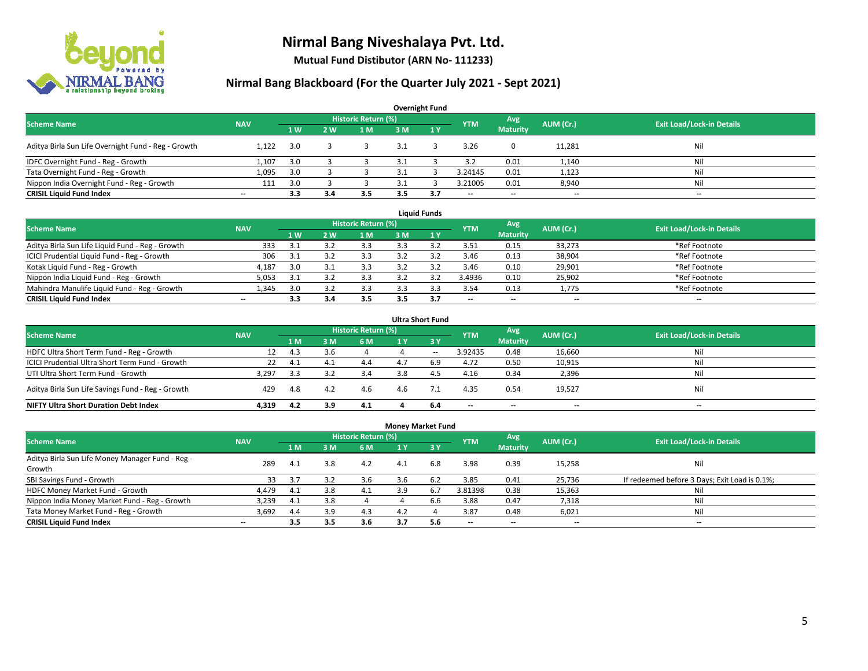

**Mutual Fund Distibutor (ARN No- 111233)**

### **Nirmal Bang Blackboard (For the Quarter July 2021 - Sept 2021)**

| <b>Overnight Fund</b>                               |                          |     |            |                            |      |     |                          |                 |           |                                  |  |  |  |
|-----------------------------------------------------|--------------------------|-----|------------|----------------------------|------|-----|--------------------------|-----------------|-----------|----------------------------------|--|--|--|
| <b>Scheme Name</b>                                  | <b>NAV</b>               |     |            | <b>Historic Return (%)</b> |      |     | <b>YTM</b>               | Avg             | AUM (Cr.) | <b>Exit Load/Lock-in Details</b> |  |  |  |
|                                                     |                          | 1W  | <b>2 W</b> | 1 <sub>M</sub>             | 3 M  | 1Y  |                          | <b>Maturity</b> |           |                                  |  |  |  |
| Aditya Birla Sun Life Overnight Fund - Reg - Growth | 1.122                    | 3.0 |            |                            | 3.1  |     | 3.26                     | 0               | 11,281    | Nil                              |  |  |  |
| IDFC Overnight Fund - Reg - Growth                  | 1,107                    | 3.0 |            |                            | 3.1  |     | 3.2                      | 0.01            | 1,140     | Nil                              |  |  |  |
| Tata Overnight Fund - Reg - Growth                  | 1,095                    | 3.0 |            |                            |      |     | 3.24145                  | 0.01            | 1,123     | Ni                               |  |  |  |
| Nippon India Overnight Fund - Reg - Growth          | 111                      | 3.0 |            |                            | -3.1 |     | 3.21005                  | 0.01            | 8,940     | Ni                               |  |  |  |
| <b>CRISIL Liquid Fund Index</b>                     | $\overline{\phantom{a}}$ | 3.3 | 3.4        | 3.5                        | 3.5  | 3.7 | $\overline{\phantom{a}}$ | $- -$           | $- -$     | $-$                              |  |  |  |

| <b>Liquid Funds</b>                              |            |     |     |                     |     |     |                          |                          |           |                                  |  |  |  |
|--------------------------------------------------|------------|-----|-----|---------------------|-----|-----|--------------------------|--------------------------|-----------|----------------------------------|--|--|--|
| <b>Scheme Name</b>                               | <b>NAV</b> |     |     | Historic Return (%) |     |     | <b>YTM</b>               | Avg                      | AUM (Cr.) | <b>Exit Load/Lock-in Details</b> |  |  |  |
|                                                  |            | 1W  | 2 W | 1 M                 | 3 M |     |                          | <b>Maturity</b>          |           |                                  |  |  |  |
| Aditya Birla Sun Life Liquid Fund - Reg - Growth | 333        | 3.1 |     | 3.3                 |     |     | 3.51                     | 0.15                     | 33,273    | *Ref Footnote                    |  |  |  |
| ICICI Prudential Liquid Fund - Reg - Growth      | 306        | 3.1 |     | 3.3                 |     |     | 3.46                     | 0.13                     | 38,904    | *Ref Footnote                    |  |  |  |
| Kotak Liquid Fund - Reg - Growth                 | 4,187      | 3.0 |     | 3.3                 |     |     | 3.46                     | 0.10                     | 29,901    | *Ref Footnote                    |  |  |  |
| Nippon India Liquid Fund - Reg - Growth          | 5,053      |     |     | 3.3                 |     |     | 3.4936                   | 0.10                     | 25,902    | *Ref Footnote                    |  |  |  |
| Mahindra Manulife Liquid Fund - Reg - Growth     | 1.345      | 3.0 |     | 3.3                 |     |     | 3.54                     | 0.13                     | 1,775     | *Ref Footnote                    |  |  |  |
| <b>CRISIL Liquid Fund Index</b>                  | $- -$      | 3.3 | 3.4 | 3.5                 | 3.5 | 3.7 | $\overline{\phantom{a}}$ | $\overline{\phantom{a}}$ | $- -$     | $\overline{\phantom{a}}$         |  |  |  |

| <b>Ultra Short Fund</b>                           |            |      |      |                            |     |           |                          |                          |           |                                  |  |  |  |
|---------------------------------------------------|------------|------|------|----------------------------|-----|-----------|--------------------------|--------------------------|-----------|----------------------------------|--|--|--|
| <b>Scheme Name</b>                                | <b>NAV</b> |      |      | <b>Historic Return (%)</b> |     |           | <b>YTM</b>               | Avg                      | AUM (Cr.) | <b>Exit Load/Lock-in Details</b> |  |  |  |
|                                                   |            | 1 M  | 3 M  | <b>6 M</b>                 | 1 Y | $'$ 3 $V$ |                          | <b>Maturity</b>          |           |                                  |  |  |  |
| HDFC Ultra Short Term Fund - Reg - Growth         | 12.        | 4.3  | .3.b |                            |     | $\sim$    | 3.92435                  | 0.48                     | 16,660    | Nil                              |  |  |  |
| ICICI Prudential Ultra Short Term Fund - Growth   | 22         | 4.1  | 4.1  | 4.4                        |     | 6.9       | 4.72                     | 0.50                     | 10,915    | Nil                              |  |  |  |
| UTI Ultra Short Term Fund - Growth                | 3.297      | -3.3 | 3.2  | 3.4                        | 3.8 | 4.5       | 4.16                     | 0.34                     | 2,396     | Nil                              |  |  |  |
| Aditya Birla Sun Life Savings Fund - Reg - Growth | 429        | 4.8  | 4.2  | 4.6                        | 4.6 |           | 4.35                     | 0.54                     | 19,527    | Nil                              |  |  |  |
| <b>NIFTY Ultra Short Duration Debt Index</b>      | 4.319      | 4.2  | 3.9  | 4.1                        |     | 6.4       | $\overline{\phantom{a}}$ | $\overline{\phantom{a}}$ | --        | $-$                              |  |  |  |

| <b>Money Market Fund</b>                         |                          |      |     |                     |     |              |                          |                          |                          |                                               |  |  |  |
|--------------------------------------------------|--------------------------|------|-----|---------------------|-----|--------------|--------------------------|--------------------------|--------------------------|-----------------------------------------------|--|--|--|
| <b>Scheme Name</b>                               | <b>NAV</b>               |      |     | Historic Return (%) |     |              | <b>YTM</b>               | Avg                      | AUM (Cr.)                | <b>Exit Load/Lock-in Details</b>              |  |  |  |
|                                                  |                          | 1 M  | 3 M | 6 M                 | 1 Y | $\sqrt{3}$ Y |                          | <b>Maturity</b>          |                          |                                               |  |  |  |
| Aditya Birla Sun Life Money Manager Fund - Reg - | 289                      | 4.1  | 3.8 | 4.2                 | 4.1 | 6.8          | 3.98                     | 0.39                     | 15,258                   | Nil                                           |  |  |  |
| Growth                                           |                          |      |     |                     |     |              |                          |                          |                          |                                               |  |  |  |
| SBI Savings Fund - Growth                        | 33                       | -3.7 | 3.2 | 3.6                 | 3.6 | - 6.2        | 3.85                     | 0.41                     | 25,736                   | If redeemed before 3 Days; Exit Load is 0.1%; |  |  |  |
| HDFC Money Market Fund - Growth                  | 4.479                    | 4.1  | 3.8 | 4.1                 | 3.9 | 6.7          | 3.81398                  | 0.38                     | 15,363                   | Nil                                           |  |  |  |
| Nippon India Money Market Fund - Reg - Growth    | 3,239                    | 4.1  | 3.8 |                     |     | 6.6          | 3.88                     | 0.47                     | 7,318                    | Ni                                            |  |  |  |
| Tata Money Market Fund - Reg - Growth            | 3,692                    | 4.4  | 3.9 | 4.3                 | 4.2 |              | 3.87                     | 0.48                     | 6,021                    | Nil                                           |  |  |  |
| <b>CRISIL Liquid Fund Index</b>                  | $\overline{\phantom{a}}$ | 3.5  | 3.5 | 3.6                 | 3.7 | 5.6          | $\overline{\phantom{a}}$ | $\overline{\phantom{a}}$ | $\overline{\phantom{a}}$ | $- -$                                         |  |  |  |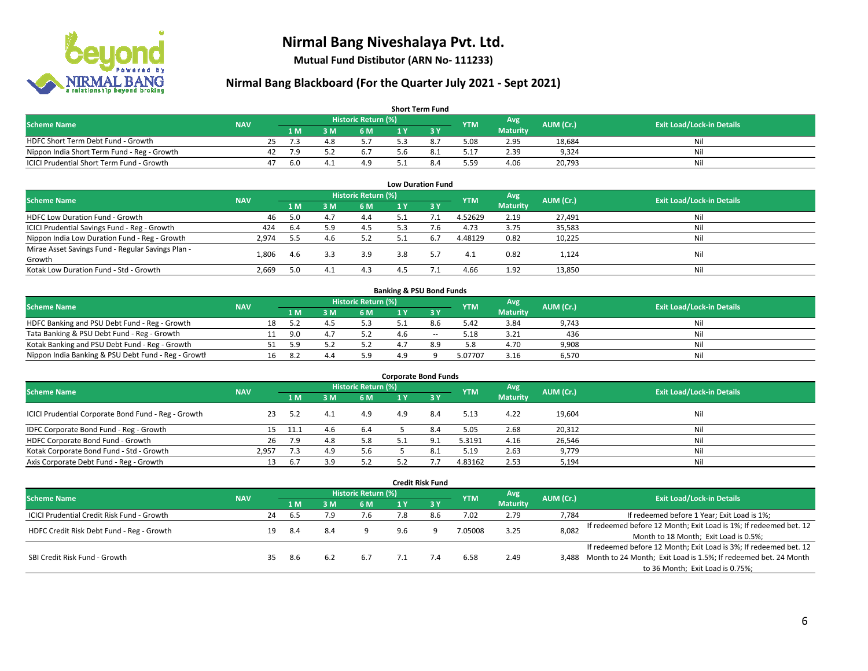

**Mutual Fund Distibutor (ARN No- 111233)**

#### **Nirmal Bang Blackboard (For the Quarter July 2021 - Sept 2021)**

| <b>Short Term Fund</b>                           |            |    |      |                    |                     |     |     |            |                 |           |                                  |  |  |  |
|--------------------------------------------------|------------|----|------|--------------------|---------------------|-----|-----|------------|-----------------|-----------|----------------------------------|--|--|--|
| <b>Scheme Name</b>                               | <b>NAV</b> |    |      |                    | Historic Return (%) |     |     | <b>YTM</b> | Avg \           | AUM (Cr.) | <b>Exit Load/Lock-in Details</b> |  |  |  |
|                                                  |            |    | 1 M. | 3 M                | 6 M                 | 1 Y |     |            | <b>Maturity</b> |           |                                  |  |  |  |
| HDFC Short Term Debt Fund - Growth               |            | 25 |      | $\Lambda$ O<br>4.0 |                     |     |     | 5.08       | 2.95            | 18.684    | Nil                              |  |  |  |
| Nippon India Short Term Fund - Reg - Growth      |            | 42 | 7.9  |                    | 6. I                |     |     | 17.ذ       | 2.39            | 9.324     | Nil                              |  |  |  |
| <b>ICICI Prudential Short Term Fund - Growth</b> |            | 47 | -6.0 |                    | 4.9                 |     | 8.4 | 5.59       | 4.06            | 20,793    | Nil                              |  |  |  |

| <b>Low Duration Fund</b>                          |            |     |     |                     |     |           |            |                 |           |                                  |  |  |  |
|---------------------------------------------------|------------|-----|-----|---------------------|-----|-----------|------------|-----------------|-----------|----------------------------------|--|--|--|
| <b>Scheme Name</b>                                | <b>NAV</b> |     |     | Historic Return (%) |     |           | <b>YTM</b> | Avg             | AUM (Cr.) | <b>Exit Load/Lock-in Details</b> |  |  |  |
|                                                   |            | 1 M | 3 M | 6 M                 |     | <b>3Y</b> |            | <b>Maturity</b> |           |                                  |  |  |  |
| HDFC Low Duration Fund - Growth                   | 46         | 5.0 | 4.1 | 4.4                 | 5.1 |           | 4.52629    | 2.19            | 27,491    | Nil                              |  |  |  |
| ICICI Prudential Savings Fund - Reg - Growth      | 424        | 6.4 | 5.9 | 4.5                 | 5.3 | 7.6       | 4.73       | 3.75            | 35,583    | Nil                              |  |  |  |
| Nippon India Low Duration Fund - Reg - Growth     | 2,974      | 5.5 | 4.6 | 5.2                 | 5.1 | 6.7       | 4.48129    | 0.82            | 10,225    | Nil                              |  |  |  |
| Mirae Asset Savings Fund - Regular Savings Plan - | 1.806      |     | 3.3 | 3.9                 | 3.8 |           | 4.1        | 0.82            | 1,124     | Nil                              |  |  |  |
| Growth                                            |            | 4.b |     |                     |     |           |            |                 |           |                                  |  |  |  |
| Kotak Low Duration Fund - Std - Growth            | 2,669      | 5.0 | 4.∡ | 4.3                 | 4.5 |           | 4.66       | 1.92            | 13,850    | Nil                              |  |  |  |

| <b>Banking &amp; PSU Bond Funds</b>                 |            |    |      |     |                     |     |       |            |                 |           |                                  |  |  |  |
|-----------------------------------------------------|------------|----|------|-----|---------------------|-----|-------|------------|-----------------|-----------|----------------------------------|--|--|--|
| <b>Scheme Name</b>                                  | <b>NAV</b> |    |      |     | Historic Return (%) |     |       | <b>YTM</b> | Avg             | AUM (Cr.) | <b>Exit Load/Lock-in Details</b> |  |  |  |
|                                                     |            |    | 4 M. | 3 M | 6 M                 |     |       |            | <b>Maturity</b> |           |                                  |  |  |  |
| HDFC Banking and PSU Debt Fund - Reg - Growth       |            | 18 | -5.2 |     |                     |     | 8.6   | 5.42       | 3.84            | 9.743     | Nil                              |  |  |  |
| Tata Banking & PSU Debt Fund - Reg - Growth         |            |    | 9.0  | 4.  |                     | 4 h | $- -$ | 5.18       | 3.21            | 436       | Nil                              |  |  |  |
| Kotak Banking and PSU Debt Fund - Reg - Growth      |            |    | 59   |     |                     |     | 89    | 5.8        | 4.70            | 9.908     | Nil                              |  |  |  |
| Nippon India Banking & PSU Debt Fund - Reg - Growth |            |    | -8.2 | 4.4 | 5.9                 | 4.9 |       | 5.07707    | 3.16            | 6,570     | Nil                              |  |  |  |

| <b>Corporate Bond Funds</b>                         |            |      |     |                            |     |      |            |                 |           |                                  |  |  |  |
|-----------------------------------------------------|------------|------|-----|----------------------------|-----|------|------------|-----------------|-----------|----------------------------------|--|--|--|
| <b>Scheme Name</b>                                  | <b>NAV</b> |      |     | <b>Historic Return (%)</b> |     |      | <b>YTM</b> | Avg             | AUM (Cr.) | <b>Exit Load/Lock-in Details</b> |  |  |  |
|                                                     |            | 1 M  | з м | 6 M                        |     | -3 Y |            | <b>Maturity</b> |           |                                  |  |  |  |
| ICICI Prudential Corporate Bond Fund - Reg - Growth | 23         | 5.2  | 4.1 | 4.9                        | 4.9 | 8.4  | 5.13       | 4.22            | 19,604    | Nil                              |  |  |  |
| IDFC Corporate Bond Fund - Reg - Growth             |            | 11.1 | 4.6 | 6.4                        |     | 8.4  | 5.05       | 2.68            | 20,312    | Nil                              |  |  |  |
| HDFC Corporate Bond Fund - Growth                   | 26         | 7.9  | 4.8 | 5.8                        |     |      | 5.3191     | 4.16            | 26,546    | Nil                              |  |  |  |
| Kotak Corporate Bond Fund - Std - Growth            | 2.957      | 7.3  | 4.9 | 5.6                        |     |      | 5.19       | 2.63            | 9,779     | Nil                              |  |  |  |
| Axis Corporate Debt Fund - Reg - Growth             | 13         | 6.   | ם י |                            |     |      | 4.83162    | 2.53            | 5,194     | Nil                              |  |  |  |

| <b>Credit Risk Fund</b>                           |            |    |      |     |                            |     |                       |            |                 |           |                                                                       |  |  |
|---------------------------------------------------|------------|----|------|-----|----------------------------|-----|-----------------------|------------|-----------------|-----------|-----------------------------------------------------------------------|--|--|
| <b>Scheme Name</b>                                | <b>NAV</b> |    |      |     | <b>Historic Return (%)</b> |     |                       | <b>YTM</b> | Avg             | AUM (Cr.) | <b>Exit Load/Lock-in Details</b>                                      |  |  |
|                                                   |            |    | 1 M  | : M | 6 M                        | 1 Y | $\angle$ 3 $\sqrt{ }$ |            | <b>Maturity</b> |           |                                                                       |  |  |
| <b>ICICI Prudential Credit Risk Fund - Growth</b> |            | 24 | 6.5  |     | 7.6                        | 7.8 | 8.6                   | 7.02       | 2.79            | 7,784     | If redeemed before 1 Year; Exit Load is 1%;                           |  |  |
| HDFC Credit Risk Debt Fund - Reg - Growth         |            | 19 | -8.4 | 8.4 |                            | 9.6 | Q                     | 7.05008    | 3.25            | 8,082     | If redeemed before 12 Month; Exit Load is 1%; If redeemed bet. 12     |  |  |
|                                                   |            |    |      |     |                            |     |                       |            |                 |           | Month to 18 Month; Exit Load is 0.5%;                                 |  |  |
|                                                   |            |    |      |     |                            |     |                       |            |                 |           | If redeemed before 12 Month; Exit Load is 3%; If redeemed bet. 12     |  |  |
| SBI Credit Risk Fund - Growth                     |            | 35 | -8.6 | 6.2 | 6.7                        |     | 7.4                   | 6.58       | 2.49            |           | 3,488 Month to 24 Month; Exit Load is 1.5%; If redeemed bet. 24 Month |  |  |
|                                                   |            |    |      |     |                            |     |                       |            |                 |           | to 36 Month; Exit Load is 0.75%;                                      |  |  |